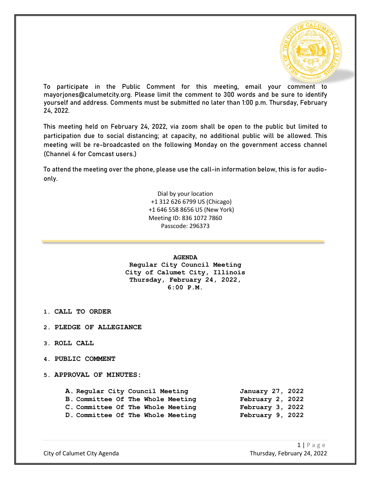

To participate in the Public Comment for this meeting, email your comment to mayorjones@calumetcity.org. Please limit the comment to 300 words and be sure to identify yourself and address. Comments must be submitted no later than 1:00 p.m. Thursday, February 24, 2022.

This meeting held on February 24, 2022, via zoom shall be open to the public but limited to participation due to social distancing; at capacity, no additional public will be allowed. This meeting will be re-broadcasted on the following Monday on the government access channel (Channel 4 for Comcast users.)

To attend the meeting over the phone, please use the call-in information below, this is for audioonly.

> Dial by your location +1 312 626 6799 US (Chicago) +1 646 558 8656 US (New York) Meeting ID: 836 1072 7860 Passcode: 296373

> > **AGENDA**

**Regular City Council Meeting City of Calumet City, Illinois Thursday, February 24, 2022, 6:00 P.M.**

**1. CALL TO ORDER**

- **2. PLEDGE OF ALLEGIANCE**
- **3. ROLL CALL**
- **4. PUBLIC COMMENT**
- **5. APPROVAL OF MINUTES:**

**A. Regular City Council Meeting January 27, 2022 B. Committee Of The Whole Meeting February 2, 2022** C. Committee Of The Whole Meeting February 3, 2022<br>D. Committee Of The Whole Meeting February 9, 2022 **D.** Committee Of The Whole Meeting

 $1 | P \text{age}$ City of Calumet City Agenda Thursday, February 24, 2022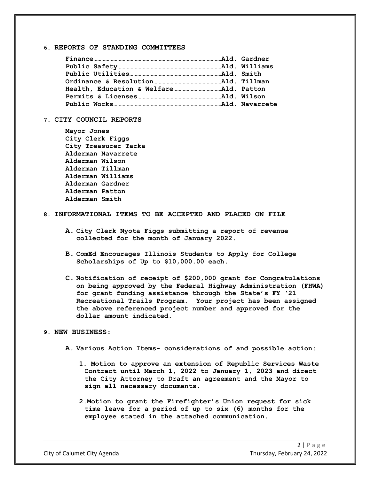# **6. REPORTS OF STANDING COMMITTEES**

### **7. CITY COUNCIL REPORTS**

| Mayor Jones       |                      |
|-------------------|----------------------|
| City Clerk Figgs  |                      |
|                   | City Treasurer Tarka |
|                   | Alderman Navarrete   |
| Alderman Wilson   |                      |
| Alderman Tillman  |                      |
| Alderman Williams |                      |
| Alderman Gardner  |                      |
| Alderman Patton   |                      |
| Alderman Smith    |                      |
|                   |                      |

## **8. INFORMATIONAL ITEMS TO BE ACCEPTED AND PLACED ON FILE**

- **A. City Clerk Nyota Figgs submitting a report of revenue collected for the month of January 2022.**
- **B. ComEd Encourages Illinois Students to Apply for College Scholarships of Up to \$10,000.00 each.**
- **C. Notification of receipt of \$200,000 grant for Congratulations on being approved by the Federal Highway Administration (FHWA) for grant funding assistance through the State's FY '21 Recreational Trails Program. Your project has been assigned the above referenced project number and approved for the dollar amount indicated.**

## **9. NEW BUSINESS:**

- **A. Various Action Items- considerations of and possible action:**
	- **1. Motion to approve an extension of Republic Services Waste Contract until March 1, 2022 to January 1, 2023 and direct the City Attorney to Draft an agreement and the Mayor to sign all necessary documents.**
	- **2.Motion to grant the Firefighter's Union request for sick time leave for a period of up to six (6) months for the employee stated in the attached communication.**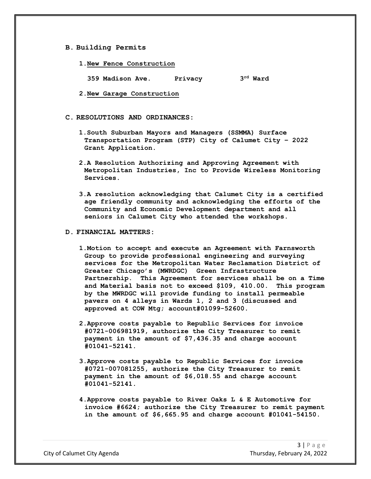### **B. Building Permits**

**1.New Fence Construction**

**359 Madison Ave. Privacy 3rd Ward**

**2.New Garage Construction**

#### **C. RESOLUTIONS AND ORDINANCES:**

- **1.South Suburban Mayors and Managers (SSMMA) Surface Transportation Program (STP) City of Calumet City – 2022 Grant Application.**
- **2.A Resolution Authorizing and Approving Agreement with Metropolitan Industries, Inc to Provide Wireless Monitoring Services.**
- **3.A resolution acknowledging that Calumet City is a certified age friendly community and acknowledging the efforts of the Community and Economic Development department and all seniors in Calumet City who attended the workshops.**

### **D. FINANCIAL MATTERS:**

- **1.Motion to accept and execute an Agreement with Farnsworth Group to provide professional engineering and surveying services for the Metropolitan Water Reclamation District of Greater Chicago's (MWRDGC) Green Infrastructure Partnership. This Agreement for services shall be on a Time and Material basis not to exceed \$109, 410.00. This program by the MWRDGC will provide funding to install permeable pavers on 4 alleys in Wards 1, 2 and 3 (discussed and approved at COW Mtg; account#01099-52600.**
- **2.Approve costs payable to Republic Services for invoice #0721-006981919, authorize the City Treasurer to remit payment in the amount of \$7,436.35 and charge account #01041-52141.**
- **3.Approve costs payable to Republic Services for invoice #0721-007081255, authorize the City Treasurer to remit payment in the amount of \$6,018.55 and charge account #01041-52141.**
- **4.Approve costs payable to River Oaks L & E Automotive for invoice #6624; authorize the City Treasurer to remit payment in the amount of \$6,665.95 and charge account #01041-54150.**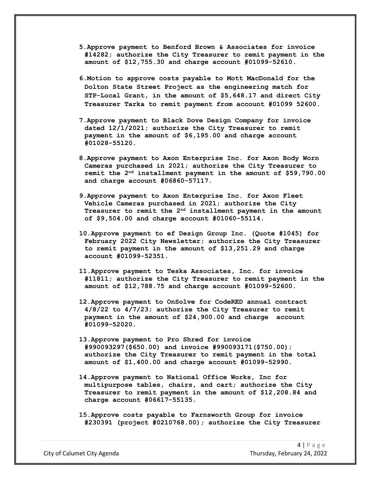- **5.Approve payment to Benford Brown & Associates for invoice #14282; authorize the City Treasurer to remit payment in the amount of \$12,755.30 and charge account #01099-52610.**
- **6.Motion to approve costs payable to Mott MacDonald for the Dolton State Street Project as the engineering match for STP-Local Grant, in the amount of \$5,648.17 and direct City Treasurer Tarka to remit payment from account #01099 52600.**
- **7.Approve payment to Black Dove Design Company for invoice dated 12/1/2021; authorize the City Treasurer to remit payment in the amount of \$6,195.00 and charge account #01028-55120.**
- **8.Approve payment to Axon Enterprise Inc. for Axon Body Worn Cameras purchased in 2021; authorize the City Treasurer to remit the 2nd installment payment in the amount of \$59,790.00 and charge account #06860-57117.**
- **9.Approve payment to Axon Enterprise Inc. for Axon Fleet Vehicle Cameras purchased in 2021; authorize the City Treasurer to remit the 2nd installment payment in the amount of \$9,504.00 and charge account #01060-55114.**
- **10.Approve payment to ef Design Group Inc. (Quote #1045) for February 2022 City Newsletter; authorize the City Treasurer to remit payment in the amount of \$13,251.29 and charge account #01099-52351.**
- **11.Approve payment to Teska Associates, Inc. for invoice #11811; authorize the City Treasurer to remit payment in the amount of \$12,788.75 and charge account #01099-52600.**
- **12.Approve payment to OnSolve for CodeRED annual contract 4/8/22 to 4/7/23; authorize the City Treasurer to remit payment in the amount of \$24,900.00 and charge account #01099-52020.**
- **13.Approve payment to Pro Shred for invoice #990093297(\$650.00) and invoice #990093171(\$750.00); authorize the City Treasurer to remit payment in the total amount of \$1,400.00 and charge account #01099-52990.**
- **14.Approve payment to National Office Works, Inc for multipurpose tables, chairs, and cart; authorize the City Treasurer to remit payment in the amount of \$12,208.84 and charge account #06617-55135.**
- **15.Approve costs payable to Farnsworth Group for invoice #230391 (project #0210768.00); authorize the City Treasurer**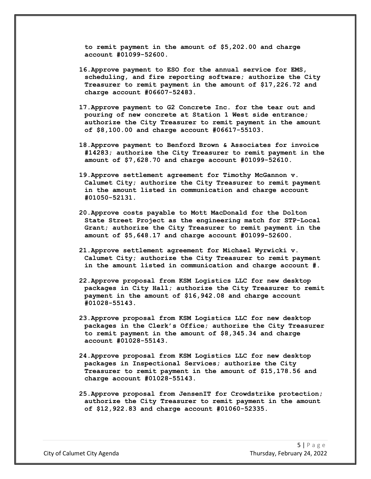**to remit payment in the amount of \$5,202.00 and charge account #01099-52600.**

- **16.Approve payment to ESO for the annual service for EMS, scheduling, and fire reporting software; authorize the City Treasurer to remit payment in the amount of \$17,226.72 and charge account #06607-52483.**
- **17.Approve payment to G2 Concrete Inc. for the tear out and pouring of new concrete at Station 1 West side entrance; authorize the City Treasurer to remit payment in the amount of \$8,100.00 and charge account #06617-55103.**
- **18.Approve payment to Benford Brown & Associates for invoice #14283; authorize the City Treasurer to remit payment in the amount of \$7,628.70 and charge account #01099-52610.**
- **19.Approve settlement agreement for Timothy McGannon v. Calumet City; authorize the City Treasurer to remit payment in the amount listed in communication and charge account #01050-52131.**
- **20.Approve costs payable to Mott MacDonald for the Dolton State Street Project as the engineering match for STP-Local Grant; authorize the City Treasurer to remit payment in the amount of \$5,648.17 and charge account #01099-52600.**
- **21.Approve settlement agreement for Michael Wyrwicki v. Calumet City; authorize the City Treasurer to remit payment in the amount listed in communication and charge account #.**
- **22.Approve proposal from KSM Logistics LLC for new desktop packages in City Hall; authorize the City Treasurer to remit payment in the amount of \$16,942.08 and charge account #01028-55143.**
- **23.Approve proposal from KSM Logistics LLC for new desktop packages in the Clerk's Office; authorize the City Treasurer to remit payment in the amount of \$8,345.34 and charge account #01028-55143.**
- **24.Approve proposal from KSM Logistics LLC for new desktop packages in Inspectional Services; authorize the City Treasurer to remit payment in the amount of \$15,178.56 and charge account #01028-55143.**
- **25.Approve proposal from JensenIT for Crowdstrike protection; authorize the City Treasurer to remit payment in the amount of \$12,922.83 and charge account #01060-52335.**